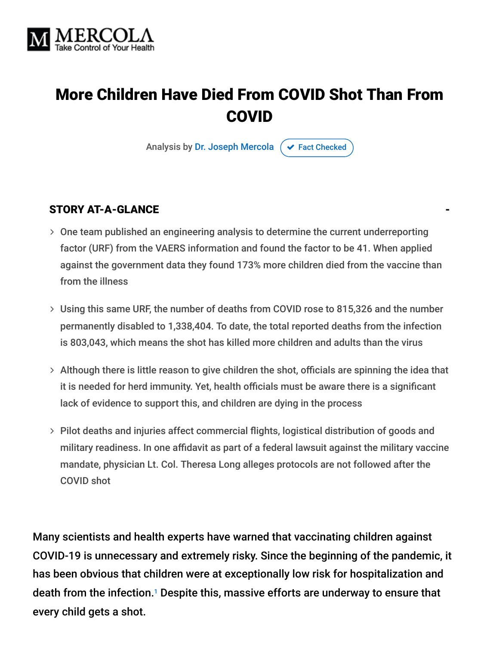

# More Children Have Died From COVID Shot Than From COVID

Analysis by [Dr. Joseph Mercola](https://www.mercola.com/forms/background.htm)  $\sigma$  [Fact Checked](javascript:void(0))

#### STORY AT-A-GLANCE

- One team published an engineering analysis to determine the current underreporting factor (URF) from the VAERS information and found the factor to be 41. When applied against the government data they found 173% more children died from the vaccine than from the illness
- Using this same URF, the number of deaths from COVID rose to 815,326 and the number permanently disabled to 1,338,404. To date, the total reported deaths from the infection is 803,043, which means the shot has killed more children and adults than the virus
- $>$  Although there is little reason to give children the shot, officials are spinning the idea that it is needed for herd immunity. Yet, health officials must be aware there is a significant lack of evidence to support this, and children are dying in the process
- Pilot deaths and injuries affect commercial flights, logistical distribution of goods and military readiness. In one affidavit as part of a federal lawsuit against the military vaccine mandate, physician Lt. Col. Theresa Long alleges protocols are not followed after the COVID shot

Many scientists and health experts have warned that vaccinating children against COVID-19 is unnecessary and extremely risky. Since the beginning of the pandemic, it has been obvious that children were at exceptionally low risk for hospitalization and death from the infection. $^{\text{\tiny{\textup{1}}}}$  Despite this, massive efforts are underway to ensure that every child gets a shot.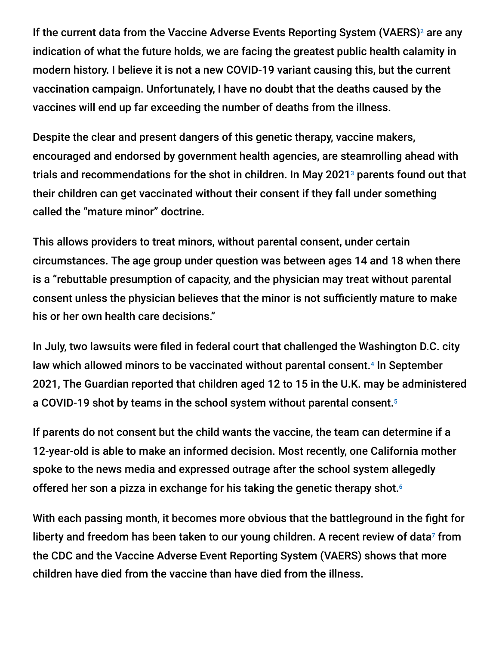If the current data from the Vaccine Adverse Events Reporting System (VAERS)<sup>2</sup> are any indication of what the future holds, we are facing the greatest public health calamity in modern history. I believe it is not a new COVID-19 variant causing this, but the current vaccination campaign. Unfortunately, I have no doubt that the deaths caused by the vaccines will end up far exceeding the number of deaths from the illness.

Despite the clear and present dangers of this genetic therapy, vaccine makers, encouraged and endorsed by government health agencies, are steamrolling ahead with trials and recommendations for the shot in children. In May 2021 $^{\circ}$  parents found out that their children can get vaccinated without their consent if they fall under something called the "mature minor" doctrine.

This allows providers to treat minors, without parental consent, under certain circumstances. The age group under question was between ages 14 and 18 when there is a "rebuttable presumption of capacity, and the physician may treat without parental consent unless the physician believes that the minor is not sufficiently mature to make his or her own health care decisions."

In July, two lawsuits were filed in federal court that challenged the Washington D.C. city law which allowed minors to be vaccinated without parental consent.<sup>4</sup> In September 2021, The Guardian reported that children aged 12 to 15 in the U.K. may be administered a COVID-19 shot by teams in the school system without parental consent. 5

If parents do not consent but the child wants the vaccine, the team can determine if a 12-year-old is able to make an informed decision. Most recently, one California mother spoke to the news media and expressed outrage after the school system allegedly offered her son a pizza in exchange for his taking the genetic therapy shot. 6

With each passing month, it becomes more obvious that the battleground in the fight for liberty and freedom has been taken to our young children. A recent review of data<sup>7</sup> from the CDC and the Vaccine Adverse Event Reporting System (VAERS) shows that more children have died from the vaccine than have died from the illness.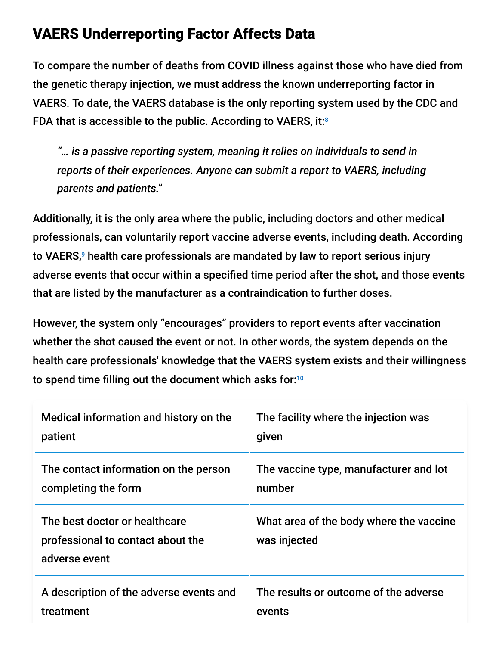## VAERS Underreporting Factor Affects Data

To compare the number of deaths from COVID illness against those who have died from the genetic therapy injection, we must address the known underreporting factor in VAERS. To date, the VAERS database is the only reporting system used by the CDC and FDA that is accessible to the public. According to VAERS, it: $\frac{8}{3}$ 

*"… is a passive reporting system, meaning it relies on individuals to send in reports of their experiences. Anyone can submit a report to VAERS, including parents and patients."*

Additionally, it is the only area where the public, including doctors and other medical professionals, can voluntarily report vaccine adverse events, including death. According to VAERS,<sup>9</sup> health care professionals are mandated by law to report serious injury adverse events that occur within a specified time period after the shot, and those events that are listed by the manufacturer as a contraindication to further doses.

However, the system only "encourages" providers to report events after vaccination whether the shot caused the event or not. In other words, the system depends on the health care professionals' knowledge that the VAERS system exists and their willingness to spend time filling out the document which asks for: 10

| Medical information and history on the                                              | The facility where the injection was                    |  |
|-------------------------------------------------------------------------------------|---------------------------------------------------------|--|
| patient                                                                             | given                                                   |  |
| The contact information on the person                                               | The vaccine type, manufacturer and lot                  |  |
| completing the form                                                                 | number                                                  |  |
| The best doctor or healthcare<br>professional to contact about the<br>adverse event | What area of the body where the vaccine<br>was injected |  |
| A description of the adverse events and                                             | The results or outcome of the adverse                   |  |
| treatment                                                                           | events                                                  |  |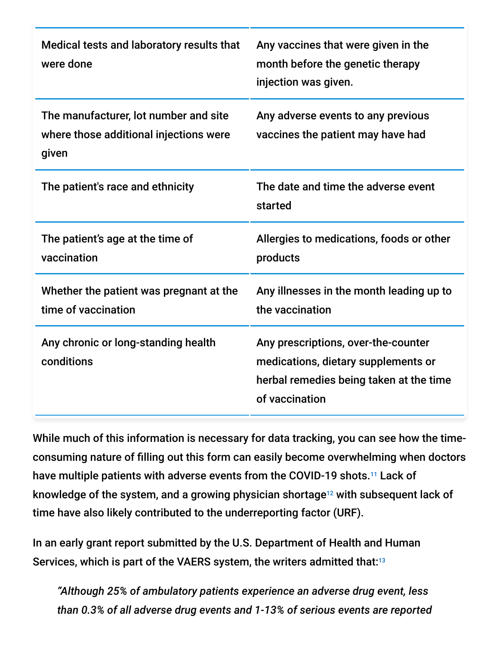| Medical tests and laboratory results that<br>were done                                   | Any vaccines that were given in the<br>month before the genetic therapy<br>injection was given.                                         |  |
|------------------------------------------------------------------------------------------|-----------------------------------------------------------------------------------------------------------------------------------------|--|
| The manufacturer, lot number and site<br>where those additional injections were<br>given | Any adverse events to any previous<br>vaccines the patient may have had                                                                 |  |
| The patient's race and ethnicity                                                         | The date and time the adverse event<br>started                                                                                          |  |
| The patient's age at the time of<br>vaccination                                          | Allergies to medications, foods or other<br>products                                                                                    |  |
| Whether the patient was pregnant at the<br>time of vaccination                           | Any illnesses in the month leading up to<br>the vaccination                                                                             |  |
| Any chronic or long-standing health<br>conditions                                        | Any prescriptions, over-the-counter<br>medications, dietary supplements or<br>herbal remedies being taken at the time<br>of vaccination |  |

While much of this information is necessary for data tracking, you can see how the timeconsuming nature of filling out this form can easily become overwhelming when doctors have multiple patients with adverse events from the COVID-19 shots.<sup>11</sup> Lack of knowledge of the system, and a growing physician shortage $^{12}$  with subsequent lack of time have also likely contributed to the underreporting factor (URF).

In an early grant report submitted by the U.S. Department of Health and Human Services, which is part of the VAERS system, the writers admitted that: $^{13}$ 

*"Although 25% of ambulatory patients experience an adverse drug event, less than 0.3% of all adverse drug events and 1-13% of serious events are reported*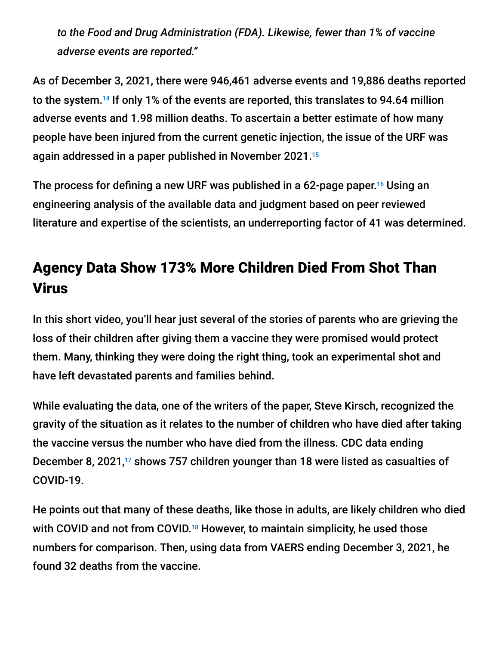*to the Food and Drug Administration (FDA). Likewise, fewer than 1% of vaccine adverse events are reported."*

As of December 3, 2021, there were 946,461 adverse events and 19,886 deaths reported to the system. $^{14}$  If only 1% of the events are reported, this translates to 94.64 million adverse events and 1.98 million deaths. To ascertain a better estimate of how many people have been injured from the current genetic injection, the issue of the URF was again addressed in a paper published in November 2021. 15

The process for defining a new URF was published in a 62-page paper.<sup>16</sup> Using an engineering analysis of the available data and judgment based on peer reviewed literature and expertise of the scientists, an underreporting factor of 41 was determined.

# Agency Data Show 173% More Children Died From Shot Than Virus

In this short video, you'll hear just several of the stories of parents who are grieving the loss of their children after giving them a vaccine they were promised would protect them. Many, thinking they were doing the right thing, took an experimental shot and have left devastated parents and families behind.

While evaluating the data, one of the writers of the paper, Steve Kirsch, recognized the gravity of the situation as it relates to the number of children who have died after taking the vaccine versus the number who have died from the illness. CDC data ending December 8, 2021, $^{17}$  shows 757 children younger than 18 were listed as casualties of COVID-19.

He points out that many of these deaths, like those in adults, are likely children who died with COVID and not from COVID.<sup>18</sup> However, to maintain simplicity, he used those numbers for comparison. Then, using data from VAERS ending December 3, 2021, he found 32 deaths from the vaccine.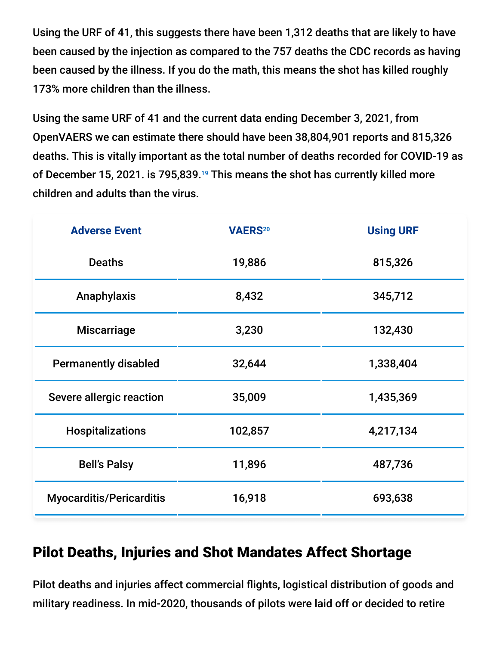Using the URF of 41, this suggests there have been 1,312 deaths that are likely to have been caused by the injection as compared to the 757 deaths the CDC records as having been caused by the illness. If you do the math, this means the shot has killed roughly 173% more children than the illness.

Using the same URF of 41 and the current data ending December 3, 2021, from OpenVAERS we can estimate there should have been 38,804,901 reports and 815,326 deaths. This is vitally important as the total number of deaths recorded for COVID-19 as of December 15, 2021. is 795,839.<sup>19</sup> This means the shot has currently killed more children and adults than the virus.

| <b>Adverse Event</b>            | <b>VAERS20</b> | <b>Using URF</b> |
|---------------------------------|----------------|------------------|
| <b>Deaths</b>                   | 19,886         | 815,326          |
| Anaphylaxis                     | 8,432          | 345,712          |
| <b>Miscarriage</b>              | 3,230          | 132,430          |
| <b>Permanently disabled</b>     | 32,644         | 1,338,404        |
| Severe allergic reaction        | 35,009         | 1,435,369        |
| <b>Hospitalizations</b>         | 102,857        | 4,217,134        |
| <b>Bell's Palsy</b>             | 11,896         | 487,736          |
| <b>Myocarditis/Pericarditis</b> | 16,918         | 693,638          |

### Pilot Deaths, Injuries and Shot Mandates Affect Shortage

Pilot deaths and injuries affect commercial flights, logistical distribution of goods and military readiness. In mid-2020, thousands of pilots were laid off or decided to retire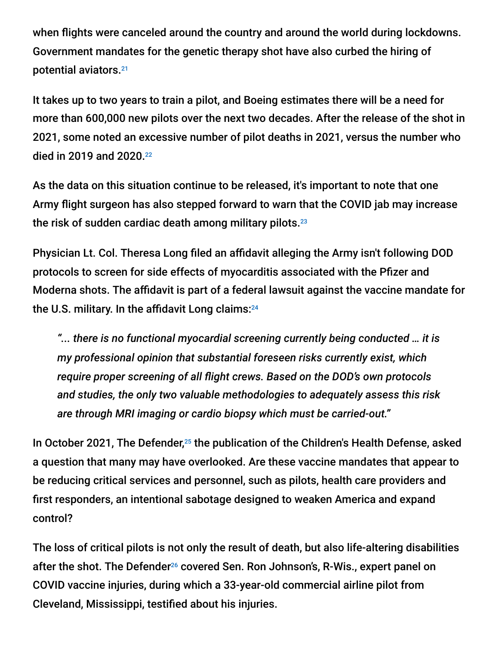when flights were canceled around the country and around the world during lockdowns. Government mandates for the genetic therapy shot have also curbed the hiring of potential aviators. 21

It takes up to two years to train a pilot, and Boeing estimates there will be a need for more than 600,000 new pilots over the next two decades. After the release of the shot in 2021, some noted an excessive number of pilot deaths in 2021, versus the number who died in 2019 and 2020. 22

As the data on this situation continue to be released, it's important to note that one Army flight surgeon has also stepped forward to warn that the COVID jab may increase the risk of sudden cardiac death among military pilots. 23

Physician Lt. Col. Theresa Long filed an affidavit alleging the Army isn't following DOD protocols to screen for side effects of myocarditis associated with the Pfizer and Moderna shots. The affidavit is part of a federal lawsuit against the vaccine mandate for the U.S. military. In the affidavit Long claims: 24

*"... there is no functional myocardial screening currently being conducted … it is my professional opinion that substantial foreseen risks currently exist, which require proper screening of all flight crews. Based on the DOD's own protocols and studies, the only two valuable methodologies to adequately assess this risk are through MRI imaging or cardio biopsy which must be carried-out."*

In October 2021, The Defender,<sup>25</sup> the publication of the Children's Health Defense, asked a question that many may have overlooked. Are these vaccine mandates that appear to be reducing critical services and personnel, such as pilots, health care providers and first responders, an intentional sabotage designed to weaken America and expand control?

The loss of critical pilots is not only the result of death, but also life-altering disabilities after the shot. The Defender<sup>26</sup> covered Sen. Ron Johnson's, R-Wis., expert panel on COVID vaccine injuries, during which a 33-year-old commercial airline pilot from Cleveland, Mississippi, testified about his injuries.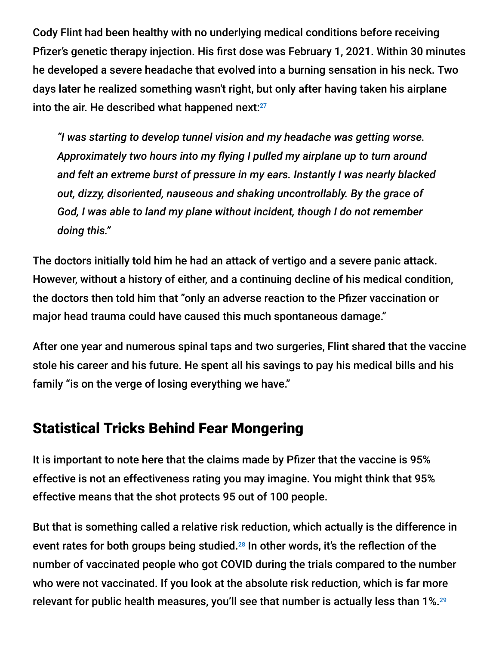Cody Flint had been healthy with no underlying medical conditions before receiving Pfizer's genetic therapy injection. His first dose was February 1, 2021. Within 30 minutes he developed a severe headache that evolved into a burning sensation in his neck. Two days later he realized something wasn't right, but only after having taken his airplane into the air. He described what happened next: 27

*"I was starting to develop tunnel vision and my headache was getting worse. Approximately two hours into my flying I pulled my airplane up to turn around and felt an extreme burst of pressure in my ears. Instantly I was nearly blacked out, dizzy, disoriented, nauseous and shaking uncontrollably. By the grace of God, I was able to land my plane without incident, though I do not remember doing this."*

The doctors initially told him he had an attack of vertigo and a severe panic attack. However, without a history of either, and a continuing decline of his medical condition, the doctors then told him that "only an adverse reaction to the Pfizer vaccination or major head trauma could have caused this much spontaneous damage."

After one year and numerous spinal taps and two surgeries, Flint shared that the vaccine stole his career and his future. He spent all his savings to pay his medical bills and his family "is on the verge of losing everything we have."

### Statistical Tricks Behind Fear Mongering

It is important to note here that the claims made by Pfizer that the vaccine is 95% effective is not an effectiveness rating you may imagine. You might think that 95% effective means that the shot protects 95 out of 100 people.

But that is something called a relative risk reduction, which actually is the difference in event rates for both groups being studied.<sup>28</sup> In other words, it's the reflection of the number of vaccinated people who got COVID during the trials compared to the number who were not vaccinated. If you look at the absolute risk reduction, which is far more relevant for public health measures, you'll see that number is actually less than 1%. 29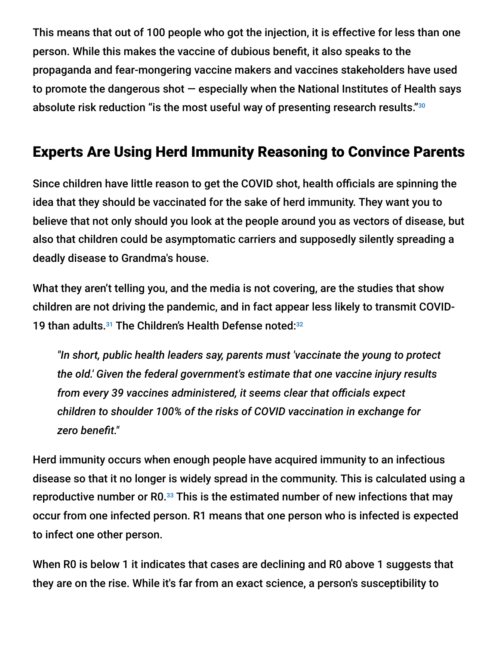This means that out of 100 people who got the injection, it is effective for less than one person. While this makes the vaccine of dubious benefit, it also speaks to the propaganda and fear-mongering vaccine makers and vaccines stakeholders have used to promote the dangerous shot  $-$  especially when the National Institutes of Health says absolute risk reduction "is the most useful way of presenting research results." 30

## Experts Are Using Herd Immunity Reasoning to Convince Parents

Since children have little reason to get the COVID shot, health officials are spinning the idea that they should be vaccinated for the sake of herd immunity. They want you to believe that not only should you look at the people around you as vectors of disease, but also that children could be asymptomatic carriers and supposedly silently spreading a deadly disease to Grandma's house.

What they aren't telling you, and the media is not covering, are the studies that show children are not driving the pandemic, and in fact appear less likely to transmit COVID-19 than adults.<sup>31</sup> The Children's Health Defense noted:<sup>32</sup>

*"In short, public health leaders say, parents must 'vaccinate the young to protect the old.' Given the federal government's estimate that one vaccine injury results from every 39 vaccines administered, it seems clear that officials expect children to shoulder 100% of the risks of COVID vaccination in exchange for zero benefit."*

Herd immunity occurs when enough people have acquired immunity to an infectious disease so that it no longer is widely spread in the community. This is calculated using a reproductive number or R0. $^{33}$  This is the estimated number of new infections that may occur from one infected person. R1 means that one person who is infected is expected to infect one other person.

When R0 is below 1 it indicates that cases are declining and R0 above 1 suggests that they are on the rise. While it's far from an exact science, a person's susceptibility to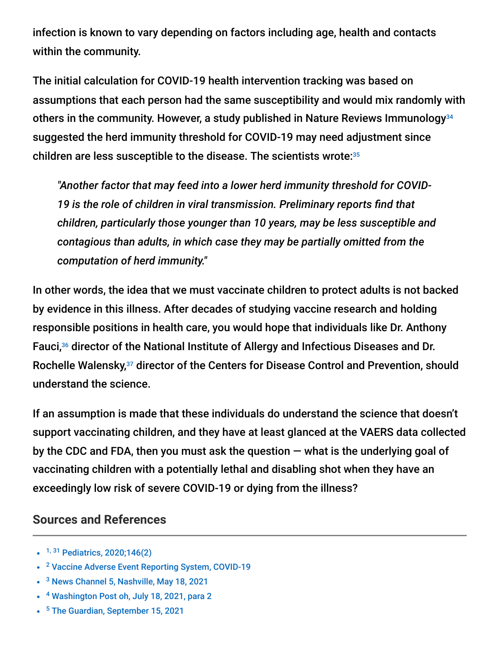infection is known to vary depending on factors including age, health and contacts within the community.

The initial calculation for COVID-19 health intervention tracking was based on assumptions that each person had the same susceptibility and would mix randomly with others in the community. However, a study published in Nature Reviews Immunology 34 suggested the herd immunity threshold for COVID-19 may need adjustment since children are less susceptible to the disease. The scientists wrote: 35

*"Another factor that may feed into a lower herd immunity threshold for COVID-19 is the role of children in viral transmission. Preliminary reports find that children, particularly those younger than 10 years, may be less susceptible and contagious than adults, in which case they may be partially omitted from the computation of herd immunity."*

In other words, the idea that we must vaccinate children to protect adults is not backed by evidence in this illness. After decades of studying vaccine research and holding responsible positions in health care, you would hope that individuals like Dr. Anthony Fauci,<sup>36</sup> director of the National Institute of Allergy and Infectious Diseases and Dr. Rochelle Walensky,<sup>37</sup> director of the Centers for Disease Control and Prevention, should understand the science.

If an assumption is made that these individuals do understand the science that doesn't support vaccinating children, and they have at least glanced at the VAERS data collected by the CDC and FDA, then you must ask the question  $-$  what is the underlying goal of vaccinating children with a potentially lethal and disabling shot when they have an exceedingly low risk of severe COVID-19 or dying from the illness?

#### **Sources and References**

- <sup>1, 31</sup> [Pediatrics, 2020;146\(2\)](https://publications.aap.org/pediatrics/article/146/2/e2020004879/36879/COVID-19-Transmission-and-Children-The-Child-Is)
- <sup>2</sup> [Vaccine Adverse Event Reporting System, COVID-19](https://openvaers.com/covid-data)
- <sup>3</sup> [News Channel 5, Nashville, May 18, 2021](https://www.newschannel5.com/rebound/some-children-can-get-vaccinated-for-covid-19-without-parental-consent)
- <sup>4</sup> [Washington Post oh, July 18, 2021, para 2](https://www.washingtonpost.com/local/dc-vaccination-lawsuit-parental-permission/2021/07/16/d7710422-e649-11eb-b722-89ea0dde7771_story.html)
- <sup>5</sup> [The Guardian, September 15, 2021](https://www.theguardian.com/education/2021/sep/15/covid-teams-can-vaccinate-pupils-against-parents-wishes-schools-told)